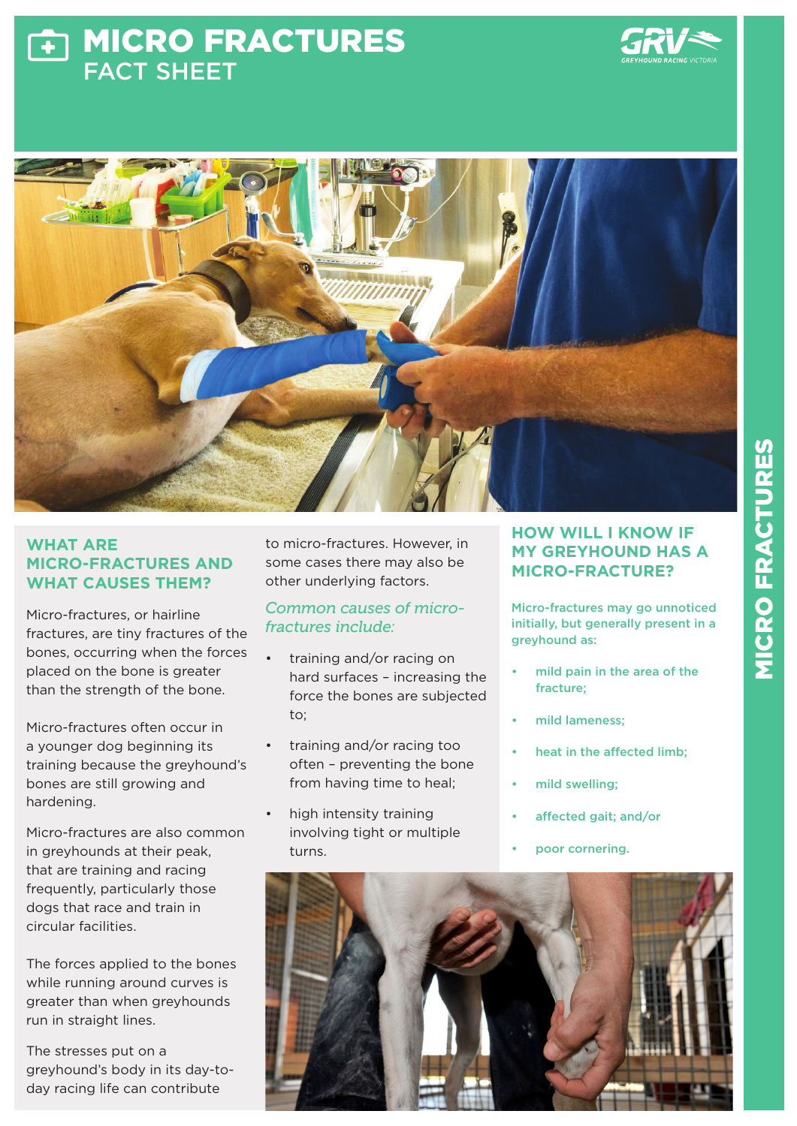# MICRO FRACTURES Ŧ FACT SHEET





### **WHAT ARE MICRO-FRACTURES AND WHAT CAUSES THEM?**

Micro-fractures, or hairline fractures, are tiny fractures of the bones, occurring when the forces placed on the bone is greater than the strength of the bone.

Micro-fractures often occur in a younger dog beginning its training because the greyhound's bones are still growing and hardening.

Micro-fractures are also common in greyhounds at their peak, that are training and racing frequently, particularly those dogs that race and train in circular facilities.

The forces applied to the bones while running around curves is greater than when greyhounds run in straight lines.

The stresses put on a greyhound's body in its day-today racing life can contribute

to micro-fractures. However, in some cases there may also be other underlying factors.

### *Common causes of microfractures include:*

- training and/or racing on hard surfaces – increasing the force the bones are subjected to;
- training and/or racing too often – preventing the bone from having time to heal;
- high intensity training involving tight or multiple turns.

# **HOW WILL I KNOW IF MY GREYHOUND HAS A MICRO-FRACTURE?**

Micro-fractures may go unnoticed initially, but generally present in a greyhound as:

- mild pain in the area of the fracture;
- mild lameness;
- heat in the affected limb;
- mild swelling;
- affected gait; and/or
- poor cornering.